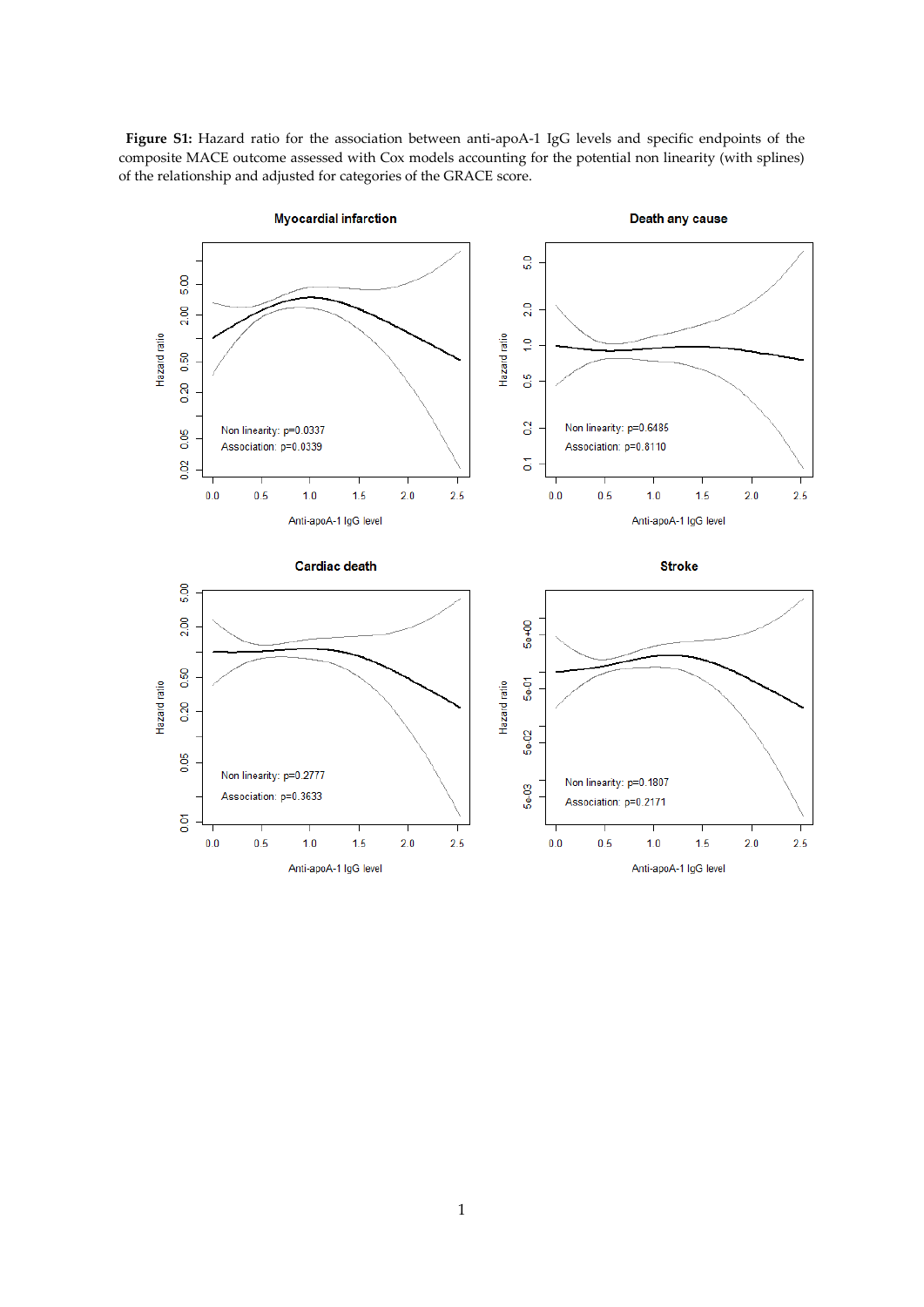

Figure S1: Hazard ratio for the association between anti-apoA-1 IgG levels and specific endpoints of the composite MACE outcome assessed with Cox models accounting for the potential non linearity (with splines) of the relationship and adjusted for categories of the GRACE score.